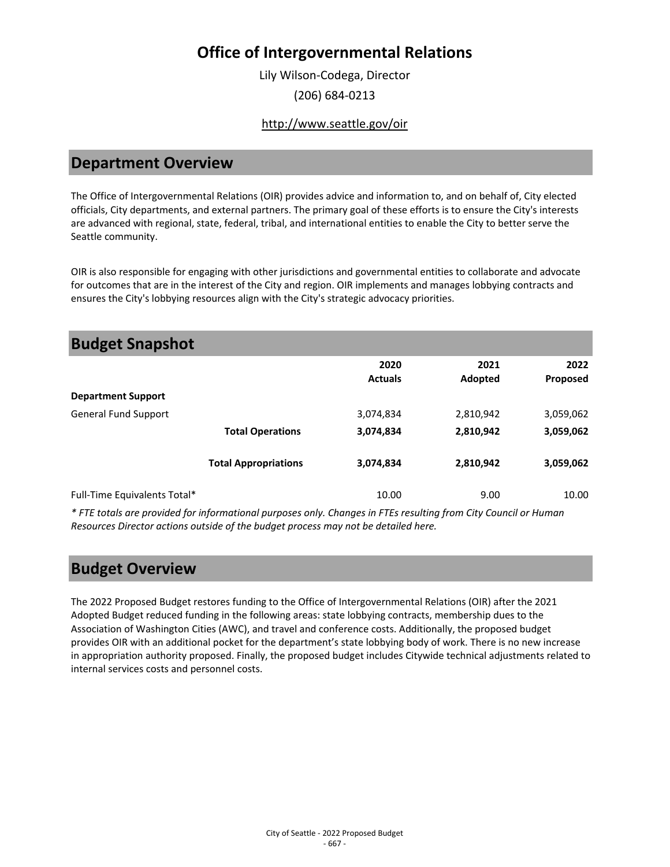Lily Wilson-Codega, Director (206) 684-0213

### <http://www.seattle.gov/oir>

### **Department Overview**

The Office of Intergovernmental Relations (OIR) provides advice and information to, and on behalf of, City elected officials, City departments, and external partners. The primary goal of these efforts is to ensure the City's interests are advanced with regional, state, federal, tribal, and international entities to enable the City to better serve the Seattle community.

OIR is also responsible for engaging with other jurisdictions and governmental entities to collaborate and advocate for outcomes that are in the interest of the City and region. OIR implements and manages lobbying contracts and ensures the City's lobbying resources align with the City's strategic advocacy priorities.

| <b>Budget Snapshot</b>       |                             |                        |                 |                  |
|------------------------------|-----------------------------|------------------------|-----------------|------------------|
|                              |                             | 2020<br><b>Actuals</b> | 2021<br>Adopted | 2022<br>Proposed |
| <b>Department Support</b>    |                             |                        |                 |                  |
| <b>General Fund Support</b>  |                             | 3,074,834              | 2,810,942       | 3,059,062        |
|                              | <b>Total Operations</b>     | 3,074,834              | 2,810,942       | 3,059,062        |
|                              | <b>Total Appropriations</b> | 3,074,834              | 2,810,942       | 3,059,062        |
| Full-Time Equivalents Total* |                             | 10.00                  | 9.00            | 10.00            |

*\* FTE totals are provided for informational purposes only. Changes in FTEs resulting from City Council or Human Resources Director actions outside of the budget process may not be detailed here.*

### **Budget Overview**

The 2022 Proposed Budget restores funding to the Office of Intergovernmental Relations (OIR) after the 2021 Adopted Budget reduced funding in the following areas: state lobbying contracts, membership dues to the Association of Washington Cities (AWC), and travel and conference costs. Additionally, the proposed budget provides OIR with an additional pocket for the department's state lobbying body of work. There is no new increase in appropriation authority proposed. Finally, the proposed budget includes Citywide technical adjustments related to internal services costs and personnel costs.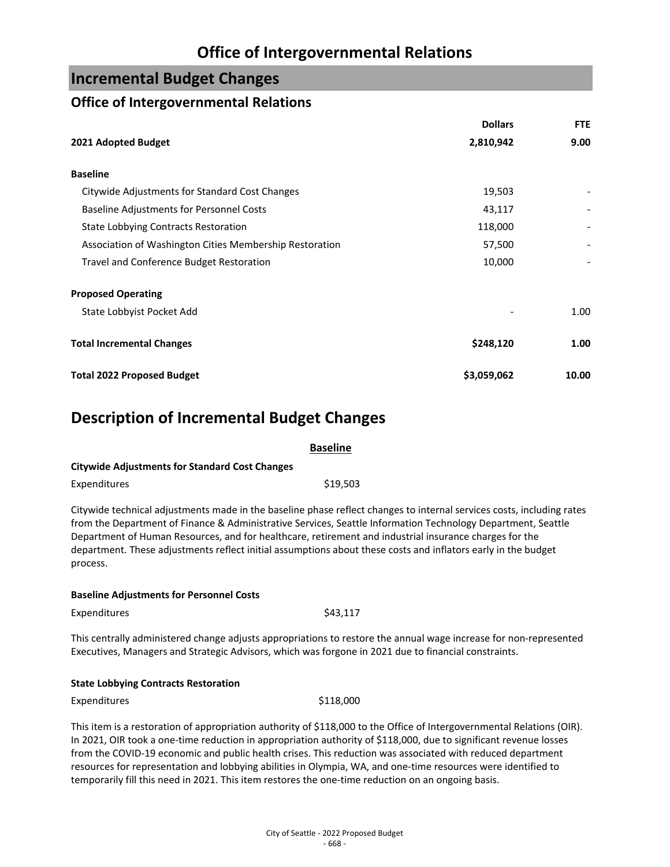### **Incremental Budget Changes**

### **Office of Intergovernmental Relations**

|                                                         | <b>Dollars</b> | <b>FTE</b> |
|---------------------------------------------------------|----------------|------------|
| 2021 Adopted Budget                                     | 2,810,942      | 9.00       |
| <b>Baseline</b>                                         |                |            |
| Citywide Adjustments for Standard Cost Changes          | 19,503         |            |
| <b>Baseline Adjustments for Personnel Costs</b>         | 43,117         |            |
| <b>State Lobbying Contracts Restoration</b>             | 118,000        |            |
| Association of Washington Cities Membership Restoration | 57,500         |            |
| Travel and Conference Budget Restoration                | 10,000         |            |
| <b>Proposed Operating</b>                               |                |            |
| State Lobbyist Pocket Add                               |                | 1.00       |
| <b>Total Incremental Changes</b>                        | \$248,120      | 1.00       |
| <b>Total 2022 Proposed Budget</b>                       | \$3,059,062    | 10.00      |

# **Description of Incremental Budget Changes**

|                                                       | <b>Baseline</b> |
|-------------------------------------------------------|-----------------|
| <b>Citywide Adjustments for Standard Cost Changes</b> |                 |
| Expenditures                                          | \$19.503        |

Citywide technical adjustments made in the baseline phase reflect changes to internal services costs, including rates from the Department of Finance & Administrative Services, Seattle Information Technology Department, Seattle Department of Human Resources, and for healthcare, retirement and industrial insurance charges for the department. These adjustments reflect initial assumptions about these costs and inflators early in the budget process.

#### **Baseline Adjustments for Personnel Costs**

Expenditures \$43,117

This centrally administered change adjusts appropriations to restore the annual wage increase for non-represented Executives, Managers and Strategic Advisors, which was forgone in 2021 due to financial constraints.

#### **State Lobbying Contracts Restoration**

Expenditures \$118,000

This item is a restoration of appropriation authority of \$118,000 to the Office of Intergovernmental Relations (OIR). In 2021, OIR took a one-time reduction in appropriation authority of \$118,000, due to significant revenue losses from the COVID-19 economic and public health crises. This reduction was associated with reduced department resources for representation and lobbying abilities in Olympia, WA, and one-time resources were identified to temporarily fill this need in 2021. This item restores the one-time reduction on an ongoing basis.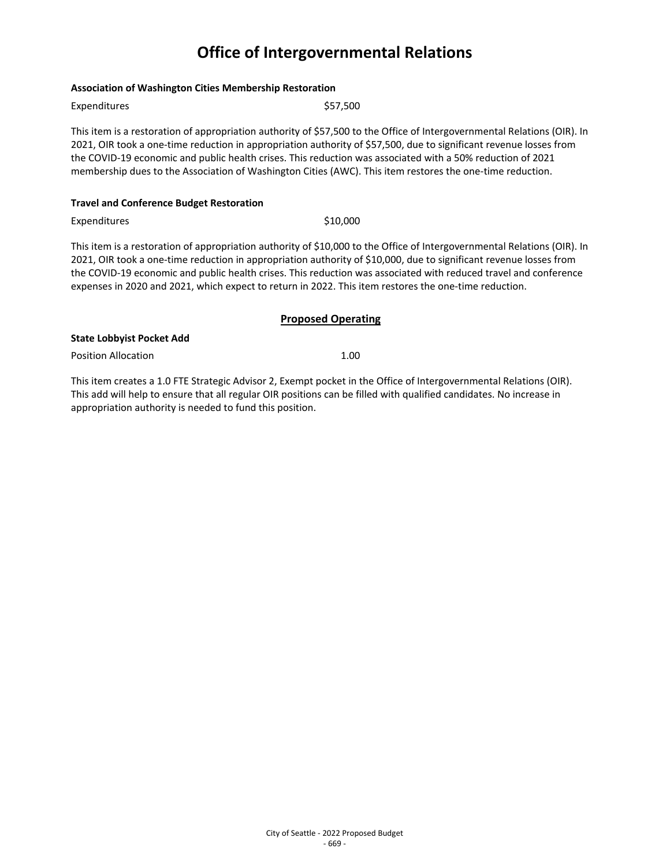#### **Association of Washington Cities Membership Restoration**

| Expenditures                                    | \$57.500                                                                                                                                                                                                                                                                                                                                                                                                                                                                  |  |
|-------------------------------------------------|---------------------------------------------------------------------------------------------------------------------------------------------------------------------------------------------------------------------------------------------------------------------------------------------------------------------------------------------------------------------------------------------------------------------------------------------------------------------------|--|
|                                                 | This item is a restoration of appropriation authority of \$57,500 to the Office of Intergovernmental Relations (OIR). In<br>2021, OIR took a one-time reduction in appropriation authority of \$57,500, due to significant revenue losses from<br>the COVID-19 economic and public health crises. This reduction was associated with a 50% reduction of 2021<br>membership dues to the Association of Washington Cities (AWC). This item restores the one-time reduction. |  |
| <b>Travel and Conference Budget Restoration</b> |                                                                                                                                                                                                                                                                                                                                                                                                                                                                           |  |
| Expenditures                                    | \$10,000                                                                                                                                                                                                                                                                                                                                                                                                                                                                  |  |
|                                                 | This item is a restoration of appropriation authority of \$10,000 to the Office of Intergovernmental Relations (OIR). In<br>2021, OIR took a one-time reduction in appropriation authority of \$10,000, due to significant revenue losses from<br>the COVID-19 economic and public health crises. This reduction was associated with reduced travel and conference                                                                                                        |  |

the COVID-19 economic and public health crises. This reduction was associated with reduced travel and conference expenses in 2020 and 2021, which expect to return in 2022. This item restores the one-time reduction.

#### **Proposed Operating**

#### **State Lobbyist Pocket Add**

Position Allocation 2.00

This item creates a 1.0 FTE Strategic Advisor 2, Exempt pocket in the Office of Intergovernmental Relations (OIR). This add will help to ensure that all regular OIR positions can be filled with qualified candidates. No increase in appropriation authority is needed to fund this position.